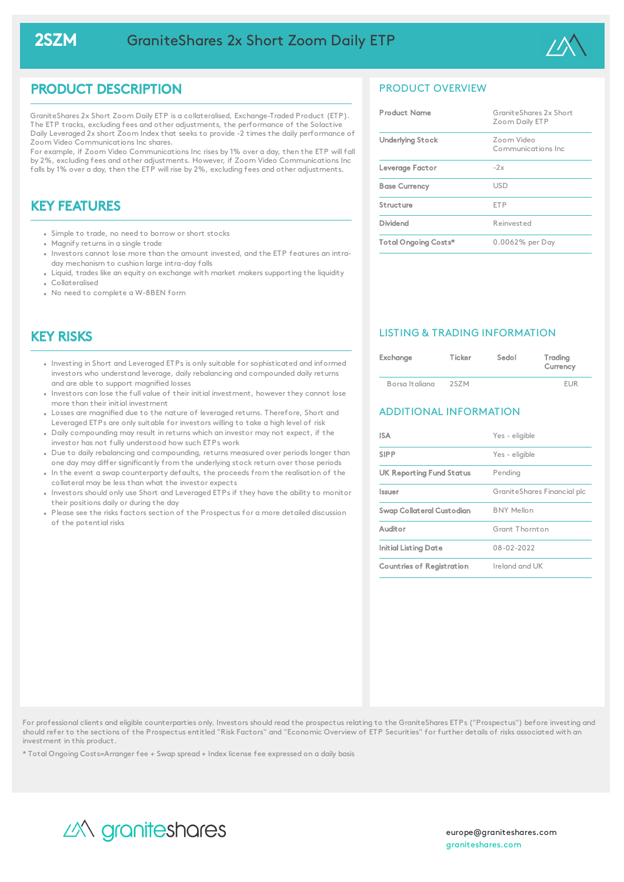

## PRODUCT DESCRIPTION

GraniteShares 2x Short Zoom Daily ETP is a collateralised, Exchange-Traded Product (ETP). The ETP tracks, excluding fees and other adjustments, the performance of the Solactive Daily Leveraged 2x short Zoom Index that seeks to provide -2 times the daily performance of Zoom Video Communications Inc shares.

For example, if Zoom Video Communications Inc rises by 1% over a day, then the ETP will fall by 2%, excluding fees and other adjustments. However, if Zoom Video Communications Inc falls by 1% over a day, then the ETP will rise by 2%, excluding fees and other adjustments.

# KEY FEATURES

- Simple to trade, no need to borrow or short stocks
- Magnify returns in a single trade
- Investors cannot lose more than the amount invested, and the ETP features an intraday mechanism to cushion large intra-day falls
- Liquid, trades like an equity on exchange with market makers supporting the liquidity Collateralised
- No need to complete a W-8BEN form

## KEY RISKS

- Investing in Short and Leveraged ETPs is only suitable for sophisticated and informed investors who understand leverage, daily rebalancing and compounded daily returns and are able to support magnified losses
- Investors can lose the full value of their initial investment, however they cannot lose more than their initial investment
- Losses are magnified due to the nature of leveraged returns. Therefore, Short and Leveraged ETPs are only suitable for investors willing to take a high level of risk
- Daily compounding may result in returns which an investor may not expect, if the investor has not fully understood how such ETPs work
- Due to daily rebalancing and compounding, returns measured over periods longer than one day may differ significantly from the underlying stock return over those periods
- In the event a swap counterparty defaults, the proceeds from the realisation of the collateral may be less than what the investor expects
- . Investors should only use Short and Leveraged ETPs if they have the ability to monitor their positions daily or during the day
- Please see the risks factors section of the Prospectus for a more detailed discussion of the potential risks

## PRODUCT OVERVIEW

| <b>Product Name</b>     | GraniteShares 2x Short<br>Zoom Daily ETP |
|-------------------------|------------------------------------------|
| <b>Underlying Stock</b> | Zoom Video<br>Communications Inc.        |
| Leverage Factor         | $-2x$                                    |
| <b>Base Currency</b>    | USD.                                     |
| Structure               | <b>FTP</b>                               |
| Dividend                | Reinvested                               |
| Total Ongoing Costs*    | 0.0062% per Day                          |

### LISTING & TRADING INFORMATION

| Exchange       | Ticker | Sedol | Trading<br>Currency |
|----------------|--------|-------|---------------------|
| Borsa Italiana | 2S7M   |       | <b>FUR</b>          |

### ADDITIONAL INFORMATION

| <b>ISA</b>                  | Yes - eligible              |
|-----------------------------|-----------------------------|
| <b>SIPP</b>                 | Yes - eligible              |
| UK Reporting Fund Status    | Pending                     |
| Issuer                      | GraniteShares Financial plc |
| Swap Collateral Custodian   | <b>BNY Mellon</b>           |
| Auditor                     | Grant Thornton              |
| <b>Initial Listing Date</b> | 08-02-2022                  |
| Countries of Registration   | Ireland and UK              |

For professional clients and eligible counterparties only. Investors should read the prospectus relating to the GraniteShares ETPs ("Prospectus") before investing and should refer to the sections of the Prospectus entitled "Risk Factors" and "Economic Overview of ETP Securities" for further details of risks associated with an investment in this product.

\* Total Ongoing Costs=Arranger fee + Swap spread + Index license fee expressed on a daily basis